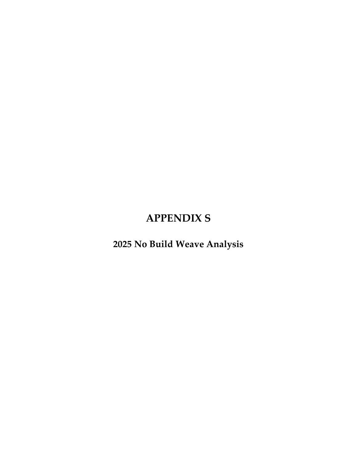## **APPENDIX S**

**2025 No Build Weave Analysis**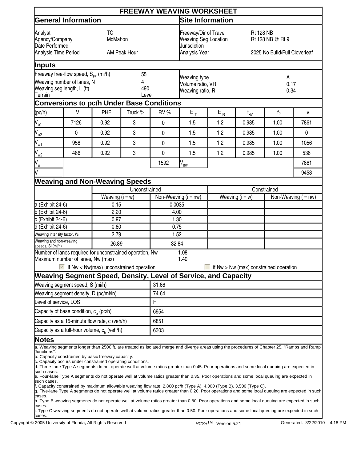|                                                                                                                                                   |                                                                                                                                                                                                                                                                                                                                                                                                                                                                                                                                                                                                                                                                                                                                                                                                                                                                                                                                                                                                                                                                                                                                                |                   |                                                             |                                                                                       | <b>FREEWAY WEAVING WORKSHEET</b> |                                                                       |          |                                        |                       |  |  |
|---------------------------------------------------------------------------------------------------------------------------------------------------|------------------------------------------------------------------------------------------------------------------------------------------------------------------------------------------------------------------------------------------------------------------------------------------------------------------------------------------------------------------------------------------------------------------------------------------------------------------------------------------------------------------------------------------------------------------------------------------------------------------------------------------------------------------------------------------------------------------------------------------------------------------------------------------------------------------------------------------------------------------------------------------------------------------------------------------------------------------------------------------------------------------------------------------------------------------------------------------------------------------------------------------------|-------------------|-------------------------------------------------------------|---------------------------------------------------------------------------------------|----------------------------------|-----------------------------------------------------------------------|----------|----------------------------------------|-----------------------|--|--|
|                                                                                                                                                   | <b>General Information</b>                                                                                                                                                                                                                                                                                                                                                                                                                                                                                                                                                                                                                                                                                                                                                                                                                                                                                                                                                                                                                                                                                                                     |                   |                                                             |                                                                                       | <b>Site Information</b>          |                                                                       |          |                                        |                       |  |  |
| <b>TC</b><br>Analyst<br>McMahon<br>Agency/Company<br>Date Performed<br>Analysis Time Period<br>AM Peak Hour                                       |                                                                                                                                                                                                                                                                                                                                                                                                                                                                                                                                                                                                                                                                                                                                                                                                                                                                                                                                                                                                                                                                                                                                                |                   |                                                             | Freeway/Dir of Travel<br><b>Weaving Seg Location</b><br>Jurisdiction<br>Analysis Year |                                  | <b>Rt 128 NB</b><br>Rt 128 NB @ Rt 9<br>2025 No Build/Full Cloverleaf |          |                                        |                       |  |  |
| Inputs                                                                                                                                            |                                                                                                                                                                                                                                                                                                                                                                                                                                                                                                                                                                                                                                                                                                                                                                                                                                                                                                                                                                                                                                                                                                                                                |                   |                                                             |                                                                                       |                                  |                                                                       |          |                                        |                       |  |  |
| Freeway free-flow speed, $S_{FF}$ (mi/h)<br>55<br>Weaving number of lanes, N<br>4<br>Weaving seg length, L (ft)<br>490<br><b>Terrain</b><br>Level |                                                                                                                                                                                                                                                                                                                                                                                                                                                                                                                                                                                                                                                                                                                                                                                                                                                                                                                                                                                                                                                                                                                                                |                   | <b>Weaving type</b><br>Volume ratio, VR<br>Weaving ratio, R |                                                                                       | A<br>0.17<br>0.34                |                                                                       |          |                                        |                       |  |  |
|                                                                                                                                                   | <b>Conversions to pc/h Under Base Conditions</b>                                                                                                                                                                                                                                                                                                                                                                                                                                                                                                                                                                                                                                                                                                                                                                                                                                                                                                                                                                                                                                                                                               |                   |                                                             |                                                                                       |                                  |                                                                       |          |                                        |                       |  |  |
| (pc/h)                                                                                                                                            | $\vee$                                                                                                                                                                                                                                                                                                                                                                                                                                                                                                                                                                                                                                                                                                                                                                                                                                                                                                                                                                                                                                                                                                                                         | <b>PHF</b>        | Truck %                                                     | RV %                                                                                  | $E_T$                            | $\mathsf{E}_{\,\mathsf{R}}$                                           | $f_{HV}$ | $f_p$                                  | V                     |  |  |
| $V_{\circ 1}$                                                                                                                                     | 7126                                                                                                                                                                                                                                                                                                                                                                                                                                                                                                                                                                                                                                                                                                                                                                                                                                                                                                                                                                                                                                                                                                                                           | 0.92              | 3                                                           | 0                                                                                     | 1.5                              | 1.2                                                                   | 0.985    | 1.00                                   | 7861                  |  |  |
| $\int_{02}$                                                                                                                                       | $\pmb{0}$                                                                                                                                                                                                                                                                                                                                                                                                                                                                                                                                                                                                                                                                                                                                                                                                                                                                                                                                                                                                                                                                                                                                      | 0.92              | 3                                                           | 0                                                                                     | 1.5                              | 1.2                                                                   | 0.985    | 1.00                                   | $\pmb{0}$             |  |  |
| $\int_{W_1}$                                                                                                                                      | 958                                                                                                                                                                                                                                                                                                                                                                                                                                                                                                                                                                                                                                                                                                                                                                                                                                                                                                                                                                                                                                                                                                                                            | 0.92              | 3                                                           | 0                                                                                     | 1.5                              | 1.2                                                                   | 0.985    | 1.00                                   | 1056                  |  |  |
| $J_{w2}$                                                                                                                                          | 486                                                                                                                                                                                                                                                                                                                                                                                                                                                                                                                                                                                                                                                                                                                                                                                                                                                                                                                                                                                                                                                                                                                                            | 0.92              | 3                                                           | 0                                                                                     | 1.5                              | 1.2                                                                   | 0.985    | 1.00                                   | 536                   |  |  |
| $\bigvee$ <sub>W</sub>                                                                                                                            |                                                                                                                                                                                                                                                                                                                                                                                                                                                                                                                                                                                                                                                                                                                                                                                                                                                                                                                                                                                                                                                                                                                                                |                   |                                                             | 1592                                                                                  | $\overline{N}_{\underline{nw}}$  |                                                                       |          |                                        | 7861                  |  |  |
|                                                                                                                                                   |                                                                                                                                                                                                                                                                                                                                                                                                                                                                                                                                                                                                                                                                                                                                                                                                                                                                                                                                                                                                                                                                                                                                                |                   |                                                             |                                                                                       |                                  |                                                                       |          |                                        | 9453                  |  |  |
|                                                                                                                                                   | <b>Weaving and Non-Weaving Speeds</b>                                                                                                                                                                                                                                                                                                                                                                                                                                                                                                                                                                                                                                                                                                                                                                                                                                                                                                                                                                                                                                                                                                          |                   |                                                             |                                                                                       |                                  |                                                                       |          |                                        |                       |  |  |
|                                                                                                                                                   |                                                                                                                                                                                                                                                                                                                                                                                                                                                                                                                                                                                                                                                                                                                                                                                                                                                                                                                                                                                                                                                                                                                                                |                   | Unconstrained                                               |                                                                                       |                                  | Constrained                                                           |          |                                        |                       |  |  |
|                                                                                                                                                   |                                                                                                                                                                                                                                                                                                                                                                                                                                                                                                                                                                                                                                                                                                                                                                                                                                                                                                                                                                                                                                                                                                                                                | Weaving $(i = w)$ |                                                             | Non-Weaving $(i = nw)$                                                                |                                  | Weaving $(i = w)$                                                     |          |                                        | Non-Weaving $( = nw)$ |  |  |
| a (Exhibit 24-6)                                                                                                                                  |                                                                                                                                                                                                                                                                                                                                                                                                                                                                                                                                                                                                                                                                                                                                                                                                                                                                                                                                                                                                                                                                                                                                                | 0.15              |                                                             |                                                                                       | 0.0035<br>4.00                   |                                                                       |          |                                        |                       |  |  |
| $b$ (Exhibit 24-6)<br>$c$ (Exhibit 24-6)                                                                                                          |                                                                                                                                                                                                                                                                                                                                                                                                                                                                                                                                                                                                                                                                                                                                                                                                                                                                                                                                                                                                                                                                                                                                                | 2.20<br>0.97      |                                                             | 1.30                                                                                  |                                  |                                                                       |          |                                        |                       |  |  |
| d (Exhibit 24-6)                                                                                                                                  |                                                                                                                                                                                                                                                                                                                                                                                                                                                                                                                                                                                                                                                                                                                                                                                                                                                                                                                                                                                                                                                                                                                                                | 0.80              |                                                             | 0.75                                                                                  |                                  |                                                                       |          |                                        |                       |  |  |
| Weaving intensity factor, Wi                                                                                                                      |                                                                                                                                                                                                                                                                                                                                                                                                                                                                                                                                                                                                                                                                                                                                                                                                                                                                                                                                                                                                                                                                                                                                                | 2.79              |                                                             |                                                                                       |                                  | 1.52                                                                  |          |                                        |                       |  |  |
| Weaving and non-weaving<br>speeds, Si (mi/h)                                                                                                      |                                                                                                                                                                                                                                                                                                                                                                                                                                                                                                                                                                                                                                                                                                                                                                                                                                                                                                                                                                                                                                                                                                                                                | 26.89             |                                                             | 32.84                                                                                 |                                  |                                                                       |          |                                        |                       |  |  |
|                                                                                                                                                   | Number of lanes required for unconstrained operation, Nw<br>Maximum number of lanes, Nw (max)<br>$\blacktriangleright$ If Nw < Nw(max) unconstrained operation<br>Weaving Segment Speed, Density, Level of Service, and Capacity                                                                                                                                                                                                                                                                                                                                                                                                                                                                                                                                                                                                                                                                                                                                                                                                                                                                                                               |                   |                                                             |                                                                                       | 1.08<br>1.40                     |                                                                       |          | if Nw > Nw (max) constrained operation |                       |  |  |
|                                                                                                                                                   | Weaving segment speed, S (mi/h)                                                                                                                                                                                                                                                                                                                                                                                                                                                                                                                                                                                                                                                                                                                                                                                                                                                                                                                                                                                                                                                                                                                |                   |                                                             | 31.66                                                                                 |                                  |                                                                       |          |                                        |                       |  |  |
|                                                                                                                                                   | Weaving segment density, D (pc/mi/ln)                                                                                                                                                                                                                                                                                                                                                                                                                                                                                                                                                                                                                                                                                                                                                                                                                                                                                                                                                                                                                                                                                                          |                   |                                                             | 74.64                                                                                 |                                  |                                                                       |          |                                        |                       |  |  |
| evel of service, LOS                                                                                                                              |                                                                                                                                                                                                                                                                                                                                                                                                                                                                                                                                                                                                                                                                                                                                                                                                                                                                                                                                                                                                                                                                                                                                                |                   |                                                             | F                                                                                     |                                  |                                                                       |          |                                        |                       |  |  |
|                                                                                                                                                   | Capacity of base condition, $c_h$ (pc/h)                                                                                                                                                                                                                                                                                                                                                                                                                                                                                                                                                                                                                                                                                                                                                                                                                                                                                                                                                                                                                                                                                                       |                   |                                                             | 6954                                                                                  |                                  |                                                                       |          |                                        |                       |  |  |
|                                                                                                                                                   | Capacity as a 15-minute flow rate, c (veh/h)                                                                                                                                                                                                                                                                                                                                                                                                                                                                                                                                                                                                                                                                                                                                                                                                                                                                                                                                                                                                                                                                                                   |                   |                                                             | 6851                                                                                  |                                  |                                                                       |          |                                        |                       |  |  |
| Capacity as a full-hour volume, c <sub>h</sub> (veh/h)                                                                                            |                                                                                                                                                                                                                                                                                                                                                                                                                                                                                                                                                                                                                                                                                                                                                                                                                                                                                                                                                                                                                                                                                                                                                |                   |                                                             | 6303                                                                                  |                                  |                                                                       |          |                                        |                       |  |  |
| <b>Notes</b>                                                                                                                                      |                                                                                                                                                                                                                                                                                                                                                                                                                                                                                                                                                                                                                                                                                                                                                                                                                                                                                                                                                                                                                                                                                                                                                |                   |                                                             |                                                                                       |                                  |                                                                       |          |                                        |                       |  |  |
| Junctions".<br>such cases.<br>such cases.<br>cases.<br>cases.<br>cases.                                                                           | a. Weaving segments longer than 2500 ft. are treated as isolated merge and diverge areas using the procedures of Chapter 25, "Ramps and Ramp<br>b. Capacity constrained by basic freeway capacity.<br>c. Capacity occurs under constrained operating conditions.<br>d. Three-lane Type A segments do not operate well at volume ratios greater than 0.45. Poor operations and some local queuing are expected in<br>e. Four-lane Type A segments do not operate well at volume ratios greater than 0.35. Poor operations and some local queuing are expected in<br>f. Capacity constrained by maximum allowable weaving flow rate: 2,800 pc/h (Type A), 4,000 (Type B), 3,500 (Type C).<br>g. Five-lane Type A segments do not operate well at volume ratios greater than 0.20. Poor operations and some local queuing are expected in such<br>h. Type B weaving segments do not operate well at volume ratios greater than 0.80. Poor operations and some local queuing are expected in such<br>. Type C weaving segments do not operate well at volume ratios greater than 0.50. Poor operations and some local queuing are expected in such |                   |                                                             |                                                                                       |                                  |                                                                       |          |                                        |                       |  |  |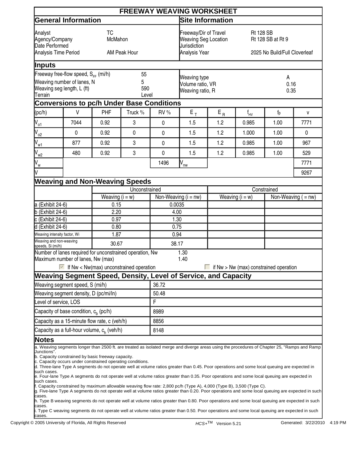|                                                                                                                                                   |                                                                                                                                                                                                                                                                                                                                                                                                                                                                                                                                                                                                                                                                                                                                                                                                                                                |                   |               |                                                                                       | <b>FREEWAY WEAVING WORKSHEET</b> |                                                                        |                                     |                                        |                       |  |  |
|---------------------------------------------------------------------------------------------------------------------------------------------------|------------------------------------------------------------------------------------------------------------------------------------------------------------------------------------------------------------------------------------------------------------------------------------------------------------------------------------------------------------------------------------------------------------------------------------------------------------------------------------------------------------------------------------------------------------------------------------------------------------------------------------------------------------------------------------------------------------------------------------------------------------------------------------------------------------------------------------------------|-------------------|---------------|---------------------------------------------------------------------------------------|----------------------------------|------------------------------------------------------------------------|-------------------------------------|----------------------------------------|-----------------------|--|--|
|                                                                                                                                                   | <b>General Information</b>                                                                                                                                                                                                                                                                                                                                                                                                                                                                                                                                                                                                                                                                                                                                                                                                                     |                   |               |                                                                                       | <b>Site Information</b>          |                                                                        |                                     |                                        |                       |  |  |
| <b>TC</b><br>Analyst<br>McMahon<br>Agency/Company<br>Date Performed<br>Analysis Time Period<br>AM Peak Hour                                       |                                                                                                                                                                                                                                                                                                                                                                                                                                                                                                                                                                                                                                                                                                                                                                                                                                                |                   |               | Freeway/Dir of Travel<br><b>Weaving Seg Location</b><br>Jurisdiction<br>Analysis Year |                                  | <b>Rt 128 SB</b><br>Rt 128 SB at Rt 9<br>2025 No Build/Full Cloverleaf |                                     |                                        |                       |  |  |
| Inputs                                                                                                                                            |                                                                                                                                                                                                                                                                                                                                                                                                                                                                                                                                                                                                                                                                                                                                                                                                                                                |                   |               |                                                                                       |                                  |                                                                        |                                     |                                        |                       |  |  |
| Freeway free-flow speed, S <sub>FF</sub> (mi/h)<br>55<br>Weaving number of lanes, N<br>5<br>Weaving seg length, L (ft)<br>590<br>Terrain<br>Level |                                                                                                                                                                                                                                                                                                                                                                                                                                                                                                                                                                                                                                                                                                                                                                                                                                                |                   |               | Weaving type<br>Volume ratio, VR<br>Weaving ratio, R                                  |                                  | A<br>0.16<br>0.35                                                      |                                     |                                        |                       |  |  |
|                                                                                                                                                   | <b>Conversions to pc/h Under Base Conditions</b>                                                                                                                                                                                                                                                                                                                                                                                                                                                                                                                                                                                                                                                                                                                                                                                               |                   |               |                                                                                       |                                  |                                                                        |                                     |                                        |                       |  |  |
| (pc/h)                                                                                                                                            | $\vee$                                                                                                                                                                                                                                                                                                                                                                                                                                                                                                                                                                                                                                                                                                                                                                                                                                         | <b>PHF</b>        | Truck %       | RV%                                                                                   | $E_T$                            | $\mathsf{E}_{\,\mathsf{R}}$                                            | $\mathsf{f}_{\mathsf{H}\mathsf{V}}$ | $f_p$                                  | v                     |  |  |
| $V_{\circ 1}$                                                                                                                                     | 7044                                                                                                                                                                                                                                                                                                                                                                                                                                                                                                                                                                                                                                                                                                                                                                                                                                           | 0.92              | 3             | 0                                                                                     | 1.5                              | 1.2                                                                    | 0.985                               | 1.00                                   | 7771                  |  |  |
| $\int_{02}$                                                                                                                                       | $\mathbf 0$                                                                                                                                                                                                                                                                                                                                                                                                                                                                                                                                                                                                                                                                                                                                                                                                                                    | 0.92              | 0             | 0                                                                                     | 1.5                              | 1.2                                                                    | 1.000                               | 1.00                                   | $\mathbf{0}$          |  |  |
| $\int_{W_1}$                                                                                                                                      | 877                                                                                                                                                                                                                                                                                                                                                                                                                                                                                                                                                                                                                                                                                                                                                                                                                                            | 0.92              | 3             | 0                                                                                     | 1.5                              | 1.2                                                                    | 0.985                               | 1.00                                   | 967                   |  |  |
| $J_{w2}$                                                                                                                                          | 480                                                                                                                                                                                                                                                                                                                                                                                                                                                                                                                                                                                                                                                                                                                                                                                                                                            | 0.92              | 3             | 0                                                                                     | 1.5                              | 1.2                                                                    | 0.985                               | 1.00                                   | 529                   |  |  |
| V <sub>w</sub>                                                                                                                                    |                                                                                                                                                                                                                                                                                                                                                                                                                                                                                                                                                                                                                                                                                                                                                                                                                                                |                   |               | 1496                                                                                  | $\overline{N}_{\underline{nw}}$  |                                                                        |                                     |                                        | 7771                  |  |  |
| V                                                                                                                                                 |                                                                                                                                                                                                                                                                                                                                                                                                                                                                                                                                                                                                                                                                                                                                                                                                                                                |                   |               |                                                                                       |                                  |                                                                        |                                     |                                        | 9267                  |  |  |
|                                                                                                                                                   | <b>Weaving and Non-Weaving Speeds</b>                                                                                                                                                                                                                                                                                                                                                                                                                                                                                                                                                                                                                                                                                                                                                                                                          |                   |               |                                                                                       |                                  |                                                                        |                                     |                                        |                       |  |  |
|                                                                                                                                                   |                                                                                                                                                                                                                                                                                                                                                                                                                                                                                                                                                                                                                                                                                                                                                                                                                                                |                   | Unconstrained |                                                                                       |                                  |                                                                        |                                     | Constrained                            |                       |  |  |
|                                                                                                                                                   |                                                                                                                                                                                                                                                                                                                                                                                                                                                                                                                                                                                                                                                                                                                                                                                                                                                | Weaving $(i = w)$ |               | Non-Weaving $(i = nw)$                                                                |                                  | Weaving $(i = w)$                                                      |                                     |                                        | Non-Weaving $($ = nw) |  |  |
| a (Exhibit 24-6)                                                                                                                                  |                                                                                                                                                                                                                                                                                                                                                                                                                                                                                                                                                                                                                                                                                                                                                                                                                                                | 0.15              |               | 0.0035                                                                                |                                  |                                                                        |                                     |                                        |                       |  |  |
| $b$ (Exhibit 24-6)                                                                                                                                |                                                                                                                                                                                                                                                                                                                                                                                                                                                                                                                                                                                                                                                                                                                                                                                                                                                | 2.20              |               | 4.00                                                                                  |                                  |                                                                        |                                     |                                        |                       |  |  |
| $c$ (Exhibit 24-6)<br>d (Exhibit 24-6)                                                                                                            |                                                                                                                                                                                                                                                                                                                                                                                                                                                                                                                                                                                                                                                                                                                                                                                                                                                | 0.97<br>0.80      |               | 1.30<br>0.75                                                                          |                                  |                                                                        |                                     |                                        |                       |  |  |
|                                                                                                                                                   | Weaving intensity factor, Wi                                                                                                                                                                                                                                                                                                                                                                                                                                                                                                                                                                                                                                                                                                                                                                                                                   | 1.87              |               | 0.94                                                                                  |                                  |                                                                        |                                     |                                        |                       |  |  |
| Weaving and non-weaving<br>speeds, Si (mi/h)                                                                                                      |                                                                                                                                                                                                                                                                                                                                                                                                                                                                                                                                                                                                                                                                                                                                                                                                                                                | 30.67             |               | 38.17                                                                                 |                                  |                                                                        |                                     |                                        |                       |  |  |
|                                                                                                                                                   | Number of lanes required for unconstrained operation, Nw<br>Maximum number of lanes, Nw (max)<br>$\blacktriangleright$ If Nw < Nw(max) unconstrained operation                                                                                                                                                                                                                                                                                                                                                                                                                                                                                                                                                                                                                                                                                 |                   |               |                                                                                       | 1.30<br>1.40                     |                                                                        |                                     | if Nw > Nw (max) constrained operation |                       |  |  |
|                                                                                                                                                   | Weaving Segment Speed, Density, Level of Service, and Capacity                                                                                                                                                                                                                                                                                                                                                                                                                                                                                                                                                                                                                                                                                                                                                                                 |                   |               |                                                                                       |                                  |                                                                        |                                     |                                        |                       |  |  |
|                                                                                                                                                   | Weaving segment speed, S (mi/h)                                                                                                                                                                                                                                                                                                                                                                                                                                                                                                                                                                                                                                                                                                                                                                                                                |                   |               | 36.72                                                                                 |                                  |                                                                        |                                     |                                        |                       |  |  |
|                                                                                                                                                   | Weaving segment density, D (pc/mi/ln)                                                                                                                                                                                                                                                                                                                                                                                                                                                                                                                                                                                                                                                                                                                                                                                                          |                   |               | 50.48                                                                                 |                                  |                                                                        |                                     |                                        |                       |  |  |
|                                                                                                                                                   | evel of service, LOS                                                                                                                                                                                                                                                                                                                                                                                                                                                                                                                                                                                                                                                                                                                                                                                                                           |                   |               | F                                                                                     |                                  |                                                                        |                                     |                                        |                       |  |  |
|                                                                                                                                                   | Capacity of base condition, c <sub>h</sub> (pc/h)                                                                                                                                                                                                                                                                                                                                                                                                                                                                                                                                                                                                                                                                                                                                                                                              |                   |               | 8989                                                                                  |                                  |                                                                        |                                     |                                        |                       |  |  |
|                                                                                                                                                   | Capacity as a 15-minute flow rate, c (veh/h)                                                                                                                                                                                                                                                                                                                                                                                                                                                                                                                                                                                                                                                                                                                                                                                                   |                   |               | 8856                                                                                  |                                  |                                                                        |                                     |                                        |                       |  |  |
| Capacity as a full-hour volume, c <sub>h</sub> (veh/h)                                                                                            |                                                                                                                                                                                                                                                                                                                                                                                                                                                                                                                                                                                                                                                                                                                                                                                                                                                |                   |               | 8148                                                                                  |                                  |                                                                        |                                     |                                        |                       |  |  |
| <b>Notes</b><br>Junctions".                                                                                                                       | a. Weaving segments longer than 2500 ft. are treated as isolated merge and diverge areas using the procedures of Chapter 25, "Ramps and Ramp                                                                                                                                                                                                                                                                                                                                                                                                                                                                                                                                                                                                                                                                                                   |                   |               |                                                                                       |                                  |                                                                        |                                     |                                        |                       |  |  |
| such cases.<br>such cases.<br>cases.<br>cases.                                                                                                    | b. Capacity constrained by basic freeway capacity.<br>c. Capacity occurs under constrained operating conditions.<br>d. Three-lane Type A segments do not operate well at volume ratios greater than 0.45. Poor operations and some local queuing are expected in<br>e. Four-lane Type A segments do not operate well at volume ratios greater than 0.35. Poor operations and some local queuing are expected in<br>lf. Capacity constrained by maximum allowable weaving flow rate: 2,800 pc/h (Type A), 4,000 (Type B), 3,500 (Type C).<br>g. Five-lane Type A segments do not operate well at volume ratios greater than 0.20. Poor operations and some local queuing are expected in such<br>h. Type B weaving segments do not operate well at volume ratios greater than 0.80. Poor operations and some local queuing are expected in such |                   |               |                                                                                       |                                  |                                                                        |                                     |                                        |                       |  |  |
| cases.                                                                                                                                            | i. Type C weaving segments do not operate well at volume ratios greater than 0.50. Poor operations and some local queuing are expected in such                                                                                                                                                                                                                                                                                                                                                                                                                                                                                                                                                                                                                                                                                                 |                   |               |                                                                                       |                                  |                                                                        |                                     |                                        |                       |  |  |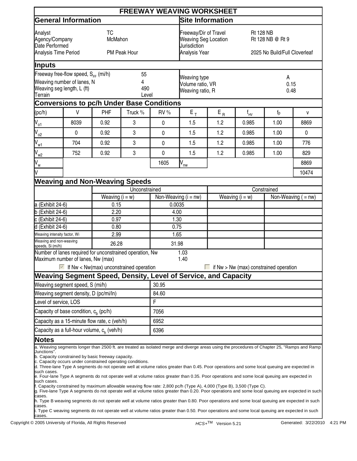|                                                                                                                                            |                                                                                                                                                                                                                                                                                                                                                                                                                                                                                                                                                                                                                                                                                                                                                                                                                                                                                                                                                                                               |                   |                                                                                       |                                                             | <b>FREEWAY WEAVING WORKSHEET</b>                                      |                   |                            |                                        |                       |  |
|--------------------------------------------------------------------------------------------------------------------------------------------|-----------------------------------------------------------------------------------------------------------------------------------------------------------------------------------------------------------------------------------------------------------------------------------------------------------------------------------------------------------------------------------------------------------------------------------------------------------------------------------------------------------------------------------------------------------------------------------------------------------------------------------------------------------------------------------------------------------------------------------------------------------------------------------------------------------------------------------------------------------------------------------------------------------------------------------------------------------------------------------------------|-------------------|---------------------------------------------------------------------------------------|-------------------------------------------------------------|-----------------------------------------------------------------------|-------------------|----------------------------|----------------------------------------|-----------------------|--|
|                                                                                                                                            | <b>General Information</b>                                                                                                                                                                                                                                                                                                                                                                                                                                                                                                                                                                                                                                                                                                                                                                                                                                                                                                                                                                    |                   |                                                                                       |                                                             | <b>Site Information</b>                                               |                   |                            |                                        |                       |  |
| <b>TC</b><br>Analyst<br>McMahon<br>Agency/Company<br>Date Performed<br>Analysis Time Period<br>PM Peak Hour                                |                                                                                                                                                                                                                                                                                                                                                                                                                                                                                                                                                                                                                                                                                                                                                                                                                                                                                                                                                                                               |                   | Freeway/Dir of Travel<br><b>Weaving Seg Location</b><br>Jurisdiction<br>Analysis Year |                                                             | <b>Rt 128 NB</b><br>Rt 128 NB @ Rt 9<br>2025 No Build/Full Cloverleaf |                   |                            |                                        |                       |  |
| Inputs                                                                                                                                     |                                                                                                                                                                                                                                                                                                                                                                                                                                                                                                                                                                                                                                                                                                                                                                                                                                                                                                                                                                                               |                   |                                                                                       |                                                             |                                                                       |                   |                            |                                        |                       |  |
| Freeway free-flow speed, $S_{FF}$ (mi/h)<br>55<br>Weaving number of lanes, N<br>4<br>Weaving seg length, L (ft)<br>490<br>Terrain<br>Level |                                                                                                                                                                                                                                                                                                                                                                                                                                                                                                                                                                                                                                                                                                                                                                                                                                                                                                                                                                                               |                   |                                                                                       | <b>Weaving type</b><br>Volume ratio, VR<br>Weaving ratio, R |                                                                       | A<br>0.15<br>0.48 |                            |                                        |                       |  |
|                                                                                                                                            | <b>Conversions to pc/h Under Base Conditions</b>                                                                                                                                                                                                                                                                                                                                                                                                                                                                                                                                                                                                                                                                                                                                                                                                                                                                                                                                              |                   |                                                                                       |                                                             |                                                                       |                   |                            |                                        |                       |  |
| (pc/h)                                                                                                                                     | $\vee$                                                                                                                                                                                                                                                                                                                                                                                                                                                                                                                                                                                                                                                                                                                                                                                                                                                                                                                                                                                        | <b>PHF</b>        | Truck %                                                                               | RV %                                                        | $\mathsf{E}_{\, \mathsf{T}}$                                          | $E_R$             | $\mathsf{f}_{\mathsf{HV}}$ | $f_{p}$                                | V                     |  |
| $V_{\circ 1}$                                                                                                                              | 8039                                                                                                                                                                                                                                                                                                                                                                                                                                                                                                                                                                                                                                                                                                                                                                                                                                                                                                                                                                                          | 0.92              | 3                                                                                     | 0                                                           | 1.5                                                                   | 1.2               | 0.985                      | 1.00                                   | 8869                  |  |
| $\int_{02}$                                                                                                                                | $\pmb{0}$                                                                                                                                                                                                                                                                                                                                                                                                                                                                                                                                                                                                                                                                                                                                                                                                                                                                                                                                                                                     | 0.92              | 3                                                                                     | 0                                                           | 1.5                                                                   | 1.2               | 0.985                      | 1.00                                   | $\mathbf 0$           |  |
| $\int_{W_1}$                                                                                                                               | 704                                                                                                                                                                                                                                                                                                                                                                                                                                                                                                                                                                                                                                                                                                                                                                                                                                                                                                                                                                                           | 0.92              | 3                                                                                     | 0                                                           | 1.5                                                                   | 1.2               | 0.985                      | 1.00                                   | 776                   |  |
| $J_{w2}$                                                                                                                                   | 752                                                                                                                                                                                                                                                                                                                                                                                                                                                                                                                                                                                                                                                                                                                                                                                                                                                                                                                                                                                           | 0.92              | 3                                                                                     | 0                                                           | 1.5                                                                   | 1.2               | 0.985                      | 1.00                                   | 829                   |  |
| $\bigvee$ <sub>W</sub>                                                                                                                     |                                                                                                                                                                                                                                                                                                                                                                                                                                                                                                                                                                                                                                                                                                                                                                                                                                                                                                                                                                                               |                   |                                                                                       | 1605                                                        | $\overline{N}_{\underline{nw}}$                                       |                   |                            |                                        | 8869                  |  |
|                                                                                                                                            |                                                                                                                                                                                                                                                                                                                                                                                                                                                                                                                                                                                                                                                                                                                                                                                                                                                                                                                                                                                               |                   |                                                                                       |                                                             |                                                                       |                   |                            |                                        | 10474                 |  |
|                                                                                                                                            | <b>Weaving and Non-Weaving Speeds</b>                                                                                                                                                                                                                                                                                                                                                                                                                                                                                                                                                                                                                                                                                                                                                                                                                                                                                                                                                         |                   |                                                                                       |                                                             |                                                                       |                   |                            |                                        |                       |  |
|                                                                                                                                            |                                                                                                                                                                                                                                                                                                                                                                                                                                                                                                                                                                                                                                                                                                                                                                                                                                                                                                                                                                                               |                   | Unconstrained                                                                         |                                                             |                                                                       |                   |                            | Constrained                            |                       |  |
|                                                                                                                                            |                                                                                                                                                                                                                                                                                                                                                                                                                                                                                                                                                                                                                                                                                                                                                                                                                                                                                                                                                                                               | Weaving $(i = w)$ |                                                                                       |                                                             | Non-Weaving $(i = nw)$                                                |                   | Weaving $(i = w)$          |                                        | Non-Weaving $( = nw)$ |  |
| a (Exhibit 24-6)<br>$b$ (Exhibit 24-6)                                                                                                     |                                                                                                                                                                                                                                                                                                                                                                                                                                                                                                                                                                                                                                                                                                                                                                                                                                                                                                                                                                                               | 0.15<br>2.20      |                                                                                       | 0.0035<br>4.00                                              |                                                                       |                   |                            |                                        |                       |  |
| $c$ (Exhibit 24-6)                                                                                                                         |                                                                                                                                                                                                                                                                                                                                                                                                                                                                                                                                                                                                                                                                                                                                                                                                                                                                                                                                                                                               | 0.97              |                                                                                       | 1.30                                                        |                                                                       |                   |                            |                                        |                       |  |
| d (Exhibit 24-6)                                                                                                                           |                                                                                                                                                                                                                                                                                                                                                                                                                                                                                                                                                                                                                                                                                                                                                                                                                                                                                                                                                                                               | 0.80              |                                                                                       | 0.75                                                        |                                                                       |                   |                            |                                        |                       |  |
|                                                                                                                                            | Weaving intensity factor, Wi                                                                                                                                                                                                                                                                                                                                                                                                                                                                                                                                                                                                                                                                                                                                                                                                                                                                                                                                                                  | 2.99              |                                                                                       | 1.65                                                        |                                                                       |                   |                            |                                        |                       |  |
| Weaving and non-weaving<br>speeds, Si (mi/h)                                                                                               |                                                                                                                                                                                                                                                                                                                                                                                                                                                                                                                                                                                                                                                                                                                                                                                                                                                                                                                                                                                               | 26.28             |                                                                                       | 31.98                                                       |                                                                       |                   |                            |                                        |                       |  |
|                                                                                                                                            | Number of lanes required for unconstrained operation, Nw<br>Maximum number of lanes, Nw (max)<br>$\blacktriangleright$ If Nw < Nw(max) unconstrained operation                                                                                                                                                                                                                                                                                                                                                                                                                                                                                                                                                                                                                                                                                                                                                                                                                                |                   |                                                                                       |                                                             | 1.03<br>1.40                                                          |                   |                            | if Nw > Nw (max) constrained operation |                       |  |
|                                                                                                                                            | Weaving Segment Speed, Density, Level of Service, and Capacity                                                                                                                                                                                                                                                                                                                                                                                                                                                                                                                                                                                                                                                                                                                                                                                                                                                                                                                                |                   |                                                                                       |                                                             |                                                                       |                   |                            |                                        |                       |  |
|                                                                                                                                            | Weaving segment speed, S (mi/h)                                                                                                                                                                                                                                                                                                                                                                                                                                                                                                                                                                                                                                                                                                                                                                                                                                                                                                                                                               |                   |                                                                                       | 30.95                                                       |                                                                       |                   |                            |                                        |                       |  |
|                                                                                                                                            | Weaving segment density, D (pc/mi/ln)                                                                                                                                                                                                                                                                                                                                                                                                                                                                                                                                                                                                                                                                                                                                                                                                                                                                                                                                                         |                   |                                                                                       | 84.60                                                       |                                                                       |                   |                            |                                        |                       |  |
|                                                                                                                                            | evel of service, LOS                                                                                                                                                                                                                                                                                                                                                                                                                                                                                                                                                                                                                                                                                                                                                                                                                                                                                                                                                                          |                   |                                                                                       | F                                                           |                                                                       |                   |                            |                                        |                       |  |
| Capacity of base condition, $c_h$ (pc/h)                                                                                                   |                                                                                                                                                                                                                                                                                                                                                                                                                                                                                                                                                                                                                                                                                                                                                                                                                                                                                                                                                                                               |                   |                                                                                       | 7056                                                        |                                                                       |                   |                            |                                        |                       |  |
| Capacity as a 15-minute flow rate, c (veh/h)<br>Capacity as a full-hour volume, c <sub>h</sub> (veh/h)                                     |                                                                                                                                                                                                                                                                                                                                                                                                                                                                                                                                                                                                                                                                                                                                                                                                                                                                                                                                                                                               |                   |                                                                                       | 6952                                                        |                                                                       |                   |                            |                                        |                       |  |
|                                                                                                                                            |                                                                                                                                                                                                                                                                                                                                                                                                                                                                                                                                                                                                                                                                                                                                                                                                                                                                                                                                                                                               |                   |                                                                                       | 6396                                                        |                                                                       |                   |                            |                                        |                       |  |
| <b>Notes</b><br>Junctions".<br>such cases.<br>such cases.<br>cases.                                                                        | a. Weaving segments longer than 2500 ft. are treated as isolated merge and diverge areas using the procedures of Chapter 25, "Ramps and Ramp<br>b. Capacity constrained by basic freeway capacity.<br>c. Capacity occurs under constrained operating conditions.<br>d. Three-lane Type A segments do not operate well at volume ratios greater than 0.45. Poor operations and some local queuing are expected in<br>e. Four-lane Type A segments do not operate well at volume ratios greater than 0.35. Poor operations and some local queuing are expected in<br>f. Capacity constrained by maximum allowable weaving flow rate: 2,800 pc/h (Type A), 4,000 (Type B), 3,500 (Type C).<br>g. Five-lane Type A segments do not operate well at volume ratios greater than 0.20. Poor operations and some local queuing are expected in such<br>h. Type B weaving segments do not operate well at volume ratios greater than 0.80. Poor operations and some local queuing are expected in such |                   |                                                                                       |                                                             |                                                                       |                   |                            |                                        |                       |  |
| cases.<br>cases.                                                                                                                           | . Type C weaving segments do not operate well at volume ratios greater than 0.50. Poor operations and some local queuing are expected in such                                                                                                                                                                                                                                                                                                                                                                                                                                                                                                                                                                                                                                                                                                                                                                                                                                                 |                   |                                                                                       |                                                             |                                                                       |                   |                            |                                        |                       |  |